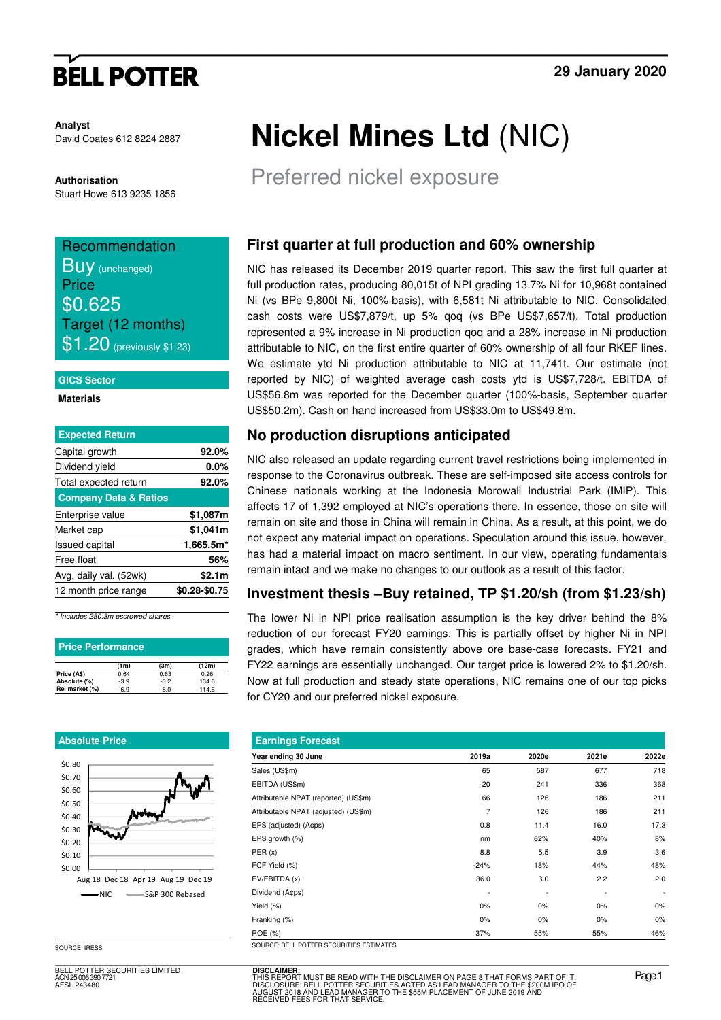# **BELL POTTER**

**Analyst** David Coates 612 8224 2887

**Authorisation**  Stuart Howe 613 9235 1856

## Recommendation **BUV** (unchanged) **Price** \$0.625 Target (12 months)  $$1.20$  (previously \$1.23)

#### **GICS Sector**

**Materials** 

| <b>Expected Return</b>           |               |
|----------------------------------|---------------|
| Capital growth                   | 92.0%         |
| Dividend yield                   | 0.0%          |
| Total expected return            | 92.0%         |
| <b>Company Data &amp; Ratios</b> |               |
| Enterprise value                 | \$1,087m      |
| Market cap                       | \$1,041m      |
| <b>Issued capital</b>            | 1,665.5m*     |
| Free float                       | 56%           |
| Avg. daily val. (52wk)           | \$2.1m        |
| 12 month price range             | \$0.28-\$0.75 |

\* Includes 280.3m escrowed shares

| <b>Price Performance</b> |        |        |       |
|--------------------------|--------|--------|-------|
|                          | (1m)   | (3m)   | (12m) |
| Price (A\$)              | 0.64   | 0.63   | 0.26  |
| Absolute (%)             | $-3.9$ | $-3.2$ | 134.6 |
| Rel market (%)           | $-6.9$ | $-8.0$ | 114.6 |

#### **Absolute Price**



SOURCE: IRESS

BELL POTTER SECURITIES LIMITED ACN 25 006 390 7721 AFSL 243480

# **Nickel Mines Ltd** (NIC)

Preferred nickel exposure

## **First quarter at full production and 60% ownership**

NIC has released its December 2019 quarter report. This saw the first full quarter at full production rates, producing 80,015t of NPI grading 13.7% Ni for 10,968t contained Ni (vs BPe 9,800t Ni, 100%-basis), with 6,581t Ni attributable to NIC. Consolidated cash costs were US\$7,879/t, up 5% qoq (vs BPe US\$7,657/t). Total production represented a 9% increase in Ni production qoq and a 28% increase in Ni production attributable to NIC, on the first entire quarter of 60% ownership of all four RKEF lines. We estimate ytd Ni production attributable to NIC at 11,741t. Our estimate (not reported by NIC) of weighted average cash costs ytd is US\$7,728/t. EBITDA of US\$56.8m was reported for the December quarter (100%-basis, September quarter US\$50.2m). Cash on hand increased from US\$33.0m to US\$49.8m.

## **No production disruptions anticipated**

NIC also released an update regarding current travel restrictions being implemented in response to the Coronavirus outbreak. These are self-imposed site access controls for Chinese nationals working at the Indonesia Morowali Industrial Park (IMIP). This affects 17 of 1,392 employed at NIC's operations there. In essence, those on site will remain on site and those in China will remain in China. As a result, at this point, we do not expect any material impact on operations. Speculation around this issue, however, has had a material impact on macro sentiment. In our view, operating fundamentals remain intact and we make no changes to our outlook as a result of this factor.

#### **Investment thesis –Buy retained, TP \$1.20/sh (from \$1.23/sh)**

The lower Ni in NPI price realisation assumption is the key driver behind the 8% reduction of our forecast FY20 earnings. This is partially offset by higher Ni in NPI grades, which have remain consistently above ore base-case forecasts. FY21 and FY22 earnings are essentially unchanged. Our target price is lowered 2% to \$1.20/sh. Now at full production and steady state operations, NIC remains one of our top picks for CY20 and our preferred nickel exposure.

| <b>Earnings Forecast</b>                   |        |       |       |       |
|--------------------------------------------|--------|-------|-------|-------|
| Year ending 30 June                        | 2019a  | 2020e | 2021e | 2022e |
| Sales (US\$m)                              | 65     | 587   | 677   | 718   |
| EBITDA (US\$m)                             | 20     | 241   | 336   | 368   |
| Attributable NPAT (reported) (US\$m)       | 66     | 126   | 186   | 211   |
| Attributable NPAT (adjusted) (US\$m)       | 7      | 126   | 186   | 211   |
| EPS (adjusted) (A¢ps)                      | 0.8    | 11.4  | 16.0  | 17.3  |
| EPS growth (%)                             | nm     | 62%   | 40%   | 8%    |
| PER(x)                                     | 8.8    | 5.5   | 3.9   | 3.6   |
| FCF Yield (%)                              | $-24%$ | 18%   | 44%   | 48%   |
| EV/EBITDA (x)                              | 36.0   | 3.0   | 2.2   | 2.0   |
| Dividend (A¢ps)                            | ٠      |       |       |       |
| Yield (%)                                  | 0%     | 0%    | 0%    | 0%    |
| Franking (%)                               | $0\%$  | 0%    | 0%    | 0%    |
| ROE (%)                                    | 37%    | 55%   | 55%   | 46%   |
| COLIDOE: RELL DOTTED CEOLIDITIES ESTIMATES |        |       |       |       |

**DISCLAIMER:** THIS REPORT MUST BE READ WITH THE DISCLAIMER ON PAGE 8 THAT FORMS PART OF IT.<br>DISCLOSURE: BELL POTTER SECURITIES ACTED AS LEAD MANAGER TO THE \$200M IPO OF<br>AUGUST 2018 AND LEAD MANAGER TO THE \$55M PLACEMENT OF JUNE 2019 AND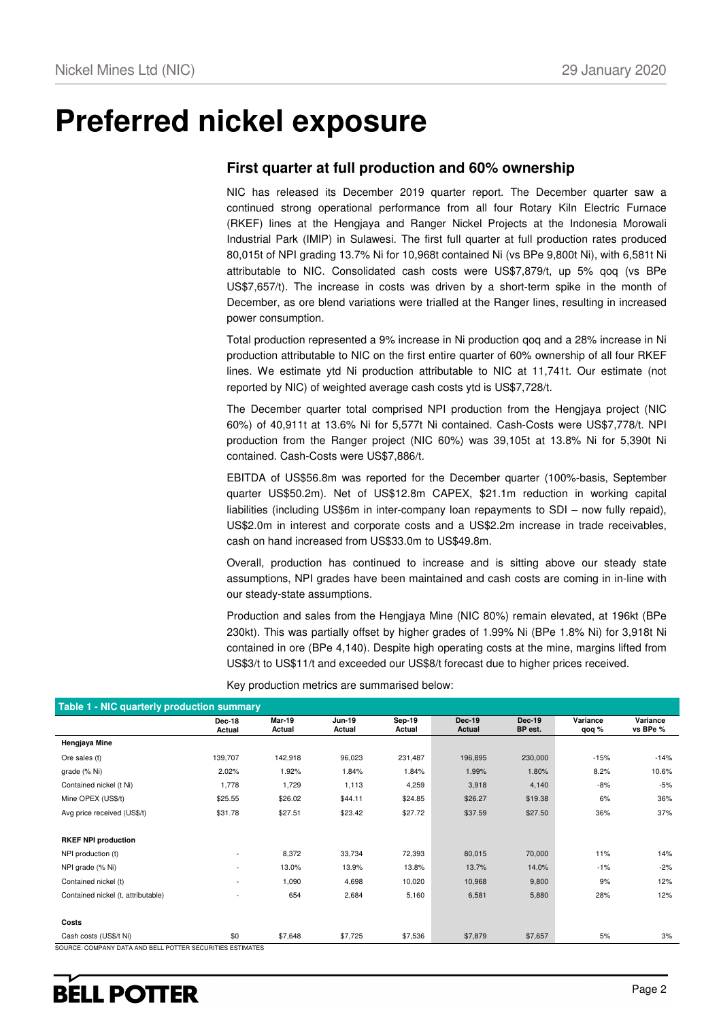## **Preferred nickel exposure**

### **First quarter at full production and 60% ownership**

NIC has released its December 2019 quarter report. The December quarter saw a continued strong operational performance from all four Rotary Kiln Electric Furnace (RKEF) lines at the Hengjaya and Ranger Nickel Projects at the Indonesia Morowali Industrial Park (IMIP) in Sulawesi. The first full quarter at full production rates produced 80,015t of NPI grading 13.7% Ni for 10,968t contained Ni (vs BPe 9,800t Ni), with 6,581t Ni attributable to NIC. Consolidated cash costs were US\$7,879/t, up 5% qoq (vs BPe US\$7,657/t). The increase in costs was driven by a short-term spike in the month of December, as ore blend variations were trialled at the Ranger lines, resulting in increased power consumption.

Total production represented a 9% increase in Ni production qoq and a 28% increase in Ni production attributable to NIC on the first entire quarter of 60% ownership of all four RKEF lines. We estimate ytd Ni production attributable to NIC at 11,741t. Our estimate (not reported by NIC) of weighted average cash costs ytd is US\$7,728/t.

The December quarter total comprised NPI production from the Hengjaya project (NIC 60%) of 40,911t at 13.6% Ni for 5,577t Ni contained. Cash-Costs were US\$7,778/t. NPI production from the Ranger project (NIC 60%) was 39,105t at 13.8% Ni for 5,390t Ni contained. Cash-Costs were US\$7,886/t.

EBITDA of US\$56.8m was reported for the December quarter (100%-basis, September quarter US\$50.2m). Net of US\$12.8m CAPEX, \$21.1m reduction in working capital liabilities (including US\$6m in inter-company loan repayments to SDI – now fully repaid), US\$2.0m in interest and corporate costs and a US\$2.2m increase in trade receivables, cash on hand increased from US\$33.0m to US\$49.8m.

Overall, production has continued to increase and is sitting above our steady state assumptions, NPI grades have been maintained and cash costs are coming in in-line with our steady-state assumptions.

Production and sales from the Hengjaya Mine (NIC 80%) remain elevated, at 196kt (BPe 230kt). This was partially offset by higher grades of 1.99% Ni (BPe 1.8% Ni) for 3,918t Ni contained in ore (BPe 4,140). Despite high operating costs at the mine, margins lifted from US\$3/t to US\$11/t and exceeded our US\$8/t forecast due to higher prices received.

| Table 1 - NIC quarterly production summary                |                          |                  |                         |                         |                         |                          |                   |                      |
|-----------------------------------------------------------|--------------------------|------------------|-------------------------|-------------------------|-------------------------|--------------------------|-------------------|----------------------|
|                                                           | <b>Dec-18</b><br>Actual  | Mar-19<br>Actual | <b>Jun-19</b><br>Actual | <b>Sep-19</b><br>Actual | <b>Dec-19</b><br>Actual | <b>Dec-19</b><br>BP est. | Variance<br>qoq % | Variance<br>vs BPe % |
| Hengjaya Mine                                             |                          |                  |                         |                         |                         |                          |                   |                      |
| Ore sales (t)                                             | 139,707                  | 142,918          | 96,023                  | 231,487                 | 196,895                 | 230,000                  | $-15%$            | $-14%$               |
| grade (% Ni)                                              | 2.02%                    | 1.92%            | 1.84%                   | 1.84%                   | 1.99%                   | 1.80%                    | 8.2%              | 10.6%                |
| Contained nickel (t Ni)                                   | 1,778                    | 1,729            | 1,113                   | 4,259                   | 3,918                   | 4,140                    | $-8%$             | $-5%$                |
| Mine OPEX (US\$/t)                                        | \$25.55                  | \$26.02          | \$44.11                 | \$24.85                 | \$26.27                 | \$19.38                  | 6%                | 36%                  |
| Avg price received (US\$/t)                               | \$31.78                  | \$27.51          | \$23.42                 | \$27.72                 | \$37.59                 | \$27.50                  | 36%               | 37%                  |
| <b>RKEF NPI production</b>                                |                          |                  |                         |                         |                         |                          |                   |                      |
| NPI production (t)                                        | ٠                        | 8,372            | 33,734                  | 72,393                  | 80,015                  | 70,000                   | 11%               | 14%                  |
| NPI grade (% Ni)                                          | $\overline{\phantom{a}}$ | 13.0%            | 13.9%                   | 13.8%                   | 13.7%                   | 14.0%                    | $-1%$             | $-2%$                |
| Contained nickel (t)                                      | ٠                        | 1,090            | 4,698                   | 10,020                  | 10,968                  | 9,800                    | 9%                | 12%                  |
| Contained nickel (t, attributable)                        | ٠                        | 654              | 2,684                   | 5,160                   | 6,581                   | 5,880                    | 28%               | 12%                  |
| Costs                                                     |                          |                  |                         |                         |                         |                          |                   |                      |
| Cash costs (US\$/t Ni)                                    | \$0                      | \$7,648          | \$7,725                 | \$7,536                 | \$7,879                 | \$7,657                  | 5%                | 3%                   |
| SOURCE: COMPANY DATA AND BELL POTTER SECURITIES ESTIMATES |                          |                  |                         |                         |                         |                          |                   |                      |

Key production metrics are summarised below: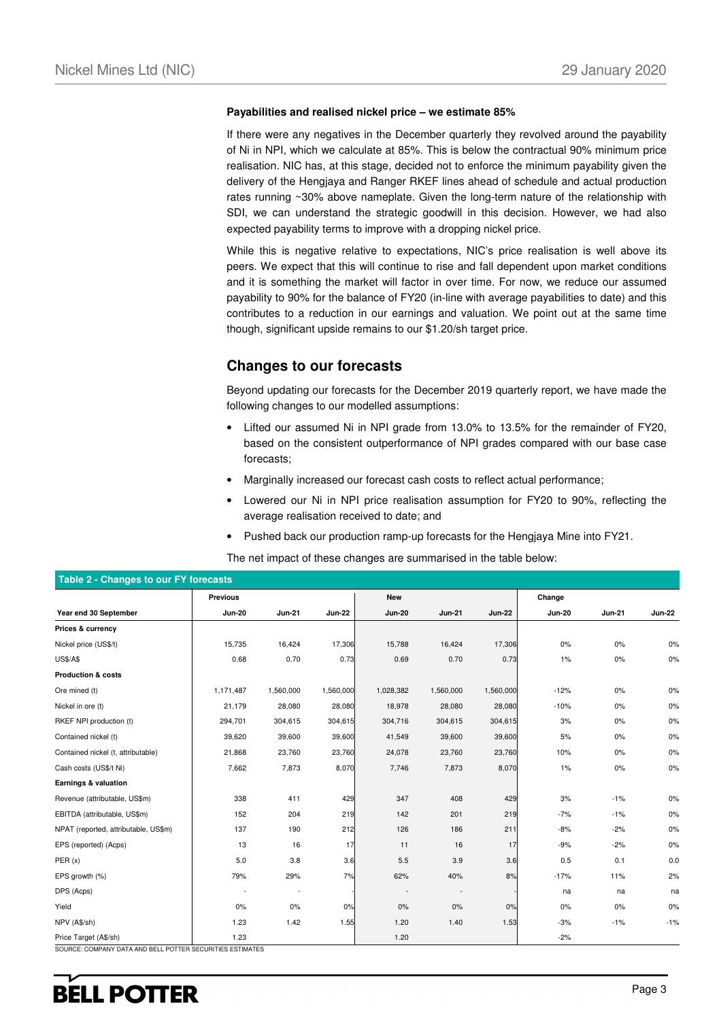#### **Payabilities and realised nickel price – we estimate 85%**

If there were any negatives in the December quarterly they revolved around the payability of Ni in NPI, which we calculate at 85%. This is below the contractual 90% minimum price realisation. NIC has, at this stage, decided not to enforce the minimum payability given the delivery of the Hengjaya and Ranger RKEF lines ahead of schedule and actual production rates running ~30% above nameplate. Given the long-term nature of the relationship with SDI, we can understand the strategic goodwill in this decision. However, we had also expected payability terms to improve with a dropping nickel price.

While this is negative relative to expectations, NIC's price realisation is well above its peers. We expect that this will continue to rise and fall dependent upon market conditions and it is something the market will factor in over time. For now, we reduce our assumed payability to 90% for the balance of FY20 (in-line with average payabilities to date) and this contributes to a reduction in our earnings and valuation. We point out at the same time though, significant upside remains to our \$1.20/sh target price.

#### **Changes to our forecasts**

Beyond updating our forecasts for the December 2019 quarterly report, we have made the following changes to our modelled assumptions:

- Lifted our assumed Ni in NPI grade from 13.0% to 13.5% for the remainder of FY20, based on the consistent outperformance of NPI grades compared with our base case forecasts;
- Marginally increased our forecast cash costs to reflect actual performance;
- Lowered our Ni in NPI price realisation assumption for FY20 to 90%, reflecting the average realisation received to date; and
- Pushed back our production ramp-up forecasts for the Hengjaya Mine into FY21.

The net impact of these changes are summarised in the table below:

|                                      | Previous      |               |               | <b>New</b>    |                          |               | Change        |        |               |
|--------------------------------------|---------------|---------------|---------------|---------------|--------------------------|---------------|---------------|--------|---------------|
| Year end 30 September                | <b>Jun-20</b> | <b>Jun-21</b> | <b>Jun-22</b> | <b>Jun-20</b> | <b>Jun-21</b>            | <b>Jun-22</b> | <b>Jun-20</b> | Jun-21 | <b>Jun-22</b> |
| Prices & currency                    |               |               |               |               |                          |               |               |        |               |
| Nickel price (US\$/t)                | 15,735        | 16,424        | 17,306        | 15,788        | 16,424                   | 17,306        | 0%            | 0%     | 0%            |
| <b>US\$/A\$</b>                      | 0.68          | 0.70          | 0.73          | 0.69          | 0.70                     | 0.73          | 1%            | 0%     | $0\%$         |
| <b>Production &amp; costs</b>        |               |               |               |               |                          |               |               |        |               |
| Ore mined (t)                        | 1,171,487     | 1,560,000     | 1,560,000     | 1,028,382     | 1,560,000                | 1,560,000     | $-12%$        | $0\%$  | 0%            |
| Nickel in ore (t)                    | 21,179        | 28,080        | 28,080        | 18,978        | 28,080                   | 28,080        | $-10%$        | 0%     | 0%            |
| RKEF NPI production (t)              | 294,701       | 304,615       | 304,615       | 304,716       | 304,615                  | 304,615       | 3%            | 0%     | 0%            |
| Contained nickel (t)                 | 39,620        | 39,600        | 39,600        | 41,549        | 39,600                   | 39,600        | 5%            | $0\%$  | 0%            |
| Contained nickel (t, attributable)   | 21,868        | 23,760        | 23,760        | 24,078        | 23,760                   | 23,760        | 10%           | 0%     | 0%            |
| Cash costs (US\$/t Ni)               | 7,662         | 7,873         | 8,070         | 7,746         | 7,873                    | 8,070         | 1%            | 0%     | 0%            |
| Earnings & valuation                 |               |               |               |               |                          |               |               |        |               |
| Revenue (attributable, US\$m)        | 338           | 411           | 429           | 347           | 408                      | 429           | 3%            | $-1%$  | $0\%$         |
| EBITDA (attributable, US\$m)         | 152           | 204           | 219           | 142           | 201                      | 219           | $-7%$         | $-1%$  | $0\%$         |
| NPAT (reported, attributable, US\$m) | 137           | 190           | 212           | 126           | 186                      | 211           | $-8%$         | $-2%$  | $0\%$         |
| EPS (reported) (Acps)                | 13            | 16            | 17            | 11            | 16                       | 17            | $-9%$         | $-2%$  | $0\%$         |
| PER(x)                               | 5.0           | 3.8           | 3.6           | 5.5           | 3.9                      | 3.6           | 0.5           | 0.1    | 0.0           |
| EPS growth (%)                       | 79%           | 29%           | 7%            | 62%           | 40%                      | 8%            | $-17%$        | 11%    | 2%            |
| DPS (Acps)                           |               | $\sim$        |               |               | $\overline{\phantom{a}}$ |               | na            | na     | na            |
| Yield                                | 0%            | 0%            | 0%            | 0%            | 0%                       | 0%            | 0%            | 0%     | 0%            |
| NPV (A\$/sh)                         | 1.23          | 1.42          | 1.55          | 1.20          | 1.40                     | 1.53          | $-3%$         | $-1%$  | $-1%$         |
| Price Target (A\$/sh)                | 1.23          |               |               | 1.20          |                          |               | $-2%$         |        |               |

**Table 2 - Changes to our FY forecasts** 

SOURCE: COMPANY DATA AND BELL POTTER SECURITIES ESTIMATES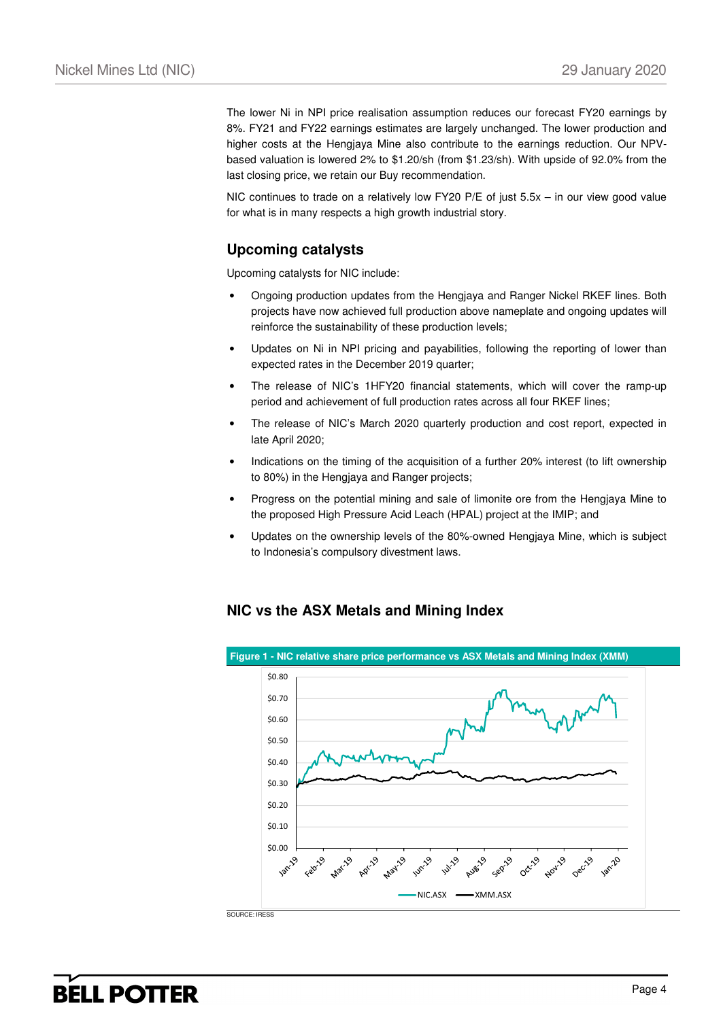The lower Ni in NPI price realisation assumption reduces our forecast FY20 earnings by 8%. FY21 and FY22 earnings estimates are largely unchanged. The lower production and higher costs at the Hengjaya Mine also contribute to the earnings reduction. Our NPVbased valuation is lowered 2% to \$1.20/sh (from \$1.23/sh). With upside of 92.0% from the last closing price, we retain our Buy recommendation.

NIC continues to trade on a relatively low FY20 P/E of just 5.5x – in our view good value for what is in many respects a high growth industrial story.

### **Upcoming catalysts**

Upcoming catalysts for NIC include:

- Ongoing production updates from the Hengjaya and Ranger Nickel RKEF lines. Both projects have now achieved full production above nameplate and ongoing updates will reinforce the sustainability of these production levels;
- Updates on Ni in NPI pricing and payabilities, following the reporting of lower than expected rates in the December 2019 quarter;
- The release of NIC's 1HFY20 financial statements, which will cover the ramp-up period and achievement of full production rates across all four RKEF lines;
- The release of NIC's March 2020 quarterly production and cost report, expected in late April 2020;
- Indications on the timing of the acquisition of a further 20% interest (to lift ownership to 80%) in the Hengjaya and Ranger projects;
- Progress on the potential mining and sale of limonite ore from the Hengjaya Mine to the proposed High Pressure Acid Leach (HPAL) project at the IMIP; and
- Updates on the ownership levels of the 80%-owned Hengjaya Mine, which is subject to Indonesia's compulsory divestment laws.

#### **NIC vs the ASX Metals and Mining Index**

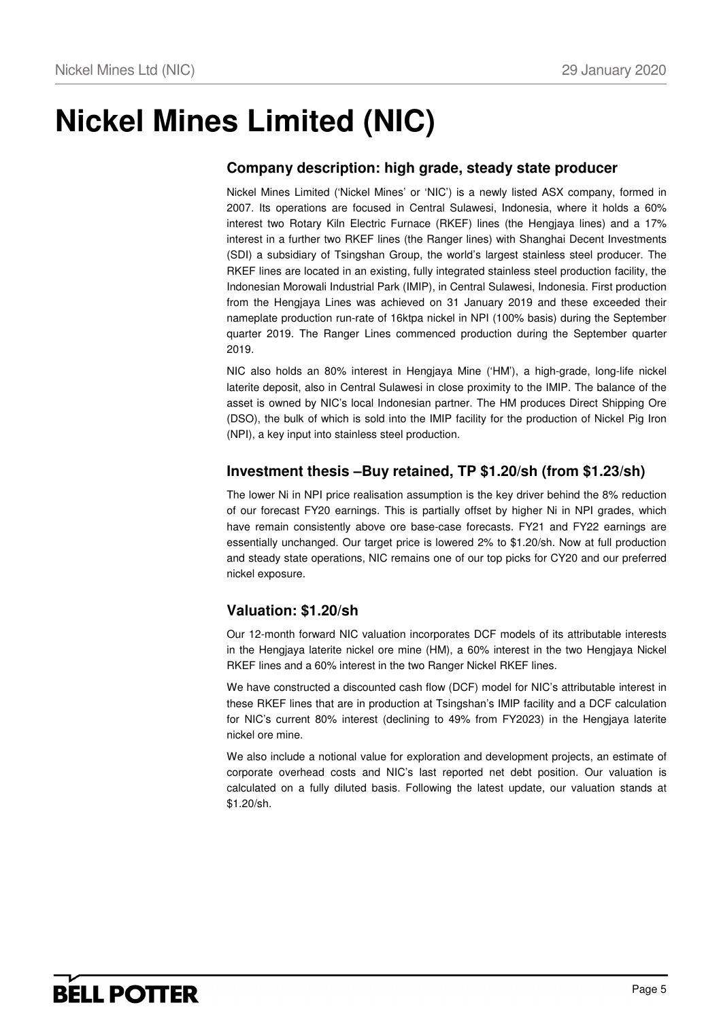# **Nickel Mines Limited (NIC)**

### **Company description: high grade, steady state producer**

Nickel Mines Limited ('Nickel Mines' or 'NIC') is a newly listed ASX company, formed in 2007. Its operations are focused in Central Sulawesi, Indonesia, where it holds a 60% interest two Rotary Kiln Electric Furnace (RKEF) lines (the Hengjaya lines) and a 17% interest in a further two RKEF lines (the Ranger lines) with Shanghai Decent Investments (SDI) a subsidiary of Tsingshan Group, the world's largest stainless steel producer. The RKEF lines are located in an existing, fully integrated stainless steel production facility, the Indonesian Morowali Industrial Park (IMIP), in Central Sulawesi, Indonesia. First production from the Hengjaya Lines was achieved on 31 January 2019 and these exceeded their nameplate production run-rate of 16ktpa nickel in NPI (100% basis) during the September quarter 2019. The Ranger Lines commenced production during the September quarter 2019.

NIC also holds an 80% interest in Hengjaya Mine ('HM'), a high-grade, long-life nickel laterite deposit, also in Central Sulawesi in close proximity to the IMIP. The balance of the asset is owned by NIC's local Indonesian partner. The HM produces Direct Shipping Ore (DSO), the bulk of which is sold into the IMIP facility for the production of Nickel Pig Iron (NPI), a key input into stainless steel production.

### **Investment thesis –Buy retained, TP \$1.20/sh (from \$1.23/sh)**

The lower Ni in NPI price realisation assumption is the key driver behind the 8% reduction of our forecast FY20 earnings. This is partially offset by higher Ni in NPI grades, which have remain consistently above ore base-case forecasts. FY21 and FY22 earnings are essentially unchanged. Our target price is lowered 2% to \$1.20/sh. Now at full production and steady state operations, NIC remains one of our top picks for CY20 and our preferred nickel exposure.

### **Valuation: \$1.20/sh**

Our 12-month forward NIC valuation incorporates DCF models of its attributable interests in the Hengjaya laterite nickel ore mine (HM), a 60% interest in the two Hengjaya Nickel RKEF lines and a 60% interest in the two Ranger Nickel RKEF lines.

We have constructed a discounted cash flow (DCF) model for NIC's attributable interest in these RKEF lines that are in production at Tsingshan's IMIP facility and a DCF calculation for NIC's current 80% interest (declining to 49% from FY2023) in the Hengjaya laterite nickel ore mine.

We also include a notional value for exploration and development projects, an estimate of corporate overhead costs and NIC's last reported net debt position. Our valuation is calculated on a fully diluted basis. Following the latest update, our valuation stands at \$1.20/sh.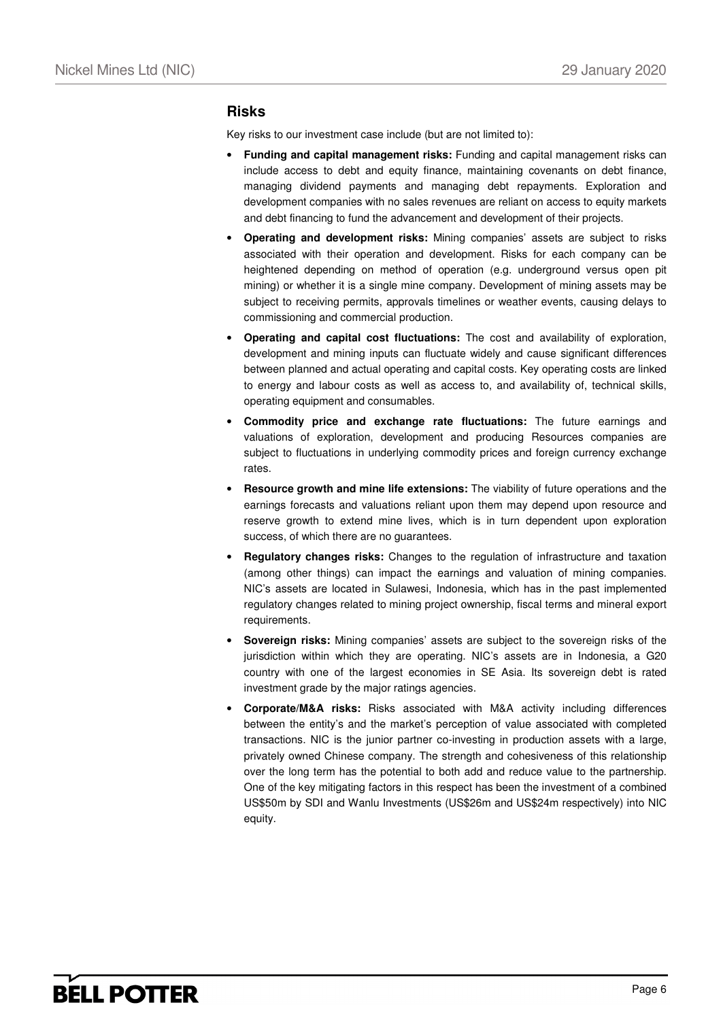#### **Risks**

Key risks to our investment case include (but are not limited to):

- **Funding and capital management risks:** Funding and capital management risks can include access to debt and equity finance, maintaining covenants on debt finance, managing dividend payments and managing debt repayments. Exploration and development companies with no sales revenues are reliant on access to equity markets and debt financing to fund the advancement and development of their projects.
- **Operating and development risks:** Mining companies' assets are subject to risks associated with their operation and development. Risks for each company can be heightened depending on method of operation (e.g. underground versus open pit mining) or whether it is a single mine company. Development of mining assets may be subject to receiving permits, approvals timelines or weather events, causing delays to commissioning and commercial production.
- **Operating and capital cost fluctuations:** The cost and availability of exploration, development and mining inputs can fluctuate widely and cause significant differences between planned and actual operating and capital costs. Key operating costs are linked to energy and labour costs as well as access to, and availability of, technical skills, operating equipment and consumables.
- **Commodity price and exchange rate fluctuations:** The future earnings and valuations of exploration, development and producing Resources companies are subject to fluctuations in underlying commodity prices and foreign currency exchange rates.
- **Resource growth and mine life extensions:** The viability of future operations and the earnings forecasts and valuations reliant upon them may depend upon resource and reserve growth to extend mine lives, which is in turn dependent upon exploration success, of which there are no guarantees.
- **Regulatory changes risks:** Changes to the regulation of infrastructure and taxation (among other things) can impact the earnings and valuation of mining companies. NIC's assets are located in Sulawesi, Indonesia, which has in the past implemented regulatory changes related to mining project ownership, fiscal terms and mineral export requirements.
- **Sovereign risks:** Mining companies' assets are subject to the sovereign risks of the jurisdiction within which they are operating. NIC's assets are in Indonesia, a G20 country with one of the largest economies in SE Asia. Its sovereign debt is rated investment grade by the major ratings agencies.
- **Corporate/M&A risks:** Risks associated with M&A activity including differences between the entity's and the market's perception of value associated with completed transactions. NIC is the junior partner co-investing in production assets with a large, privately owned Chinese company. The strength and cohesiveness of this relationship over the long term has the potential to both add and reduce value to the partnership. One of the key mitigating factors in this respect has been the investment of a combined US\$50m by SDI and Wanlu Investments (US\$26m and US\$24m respectively) into NIC equity.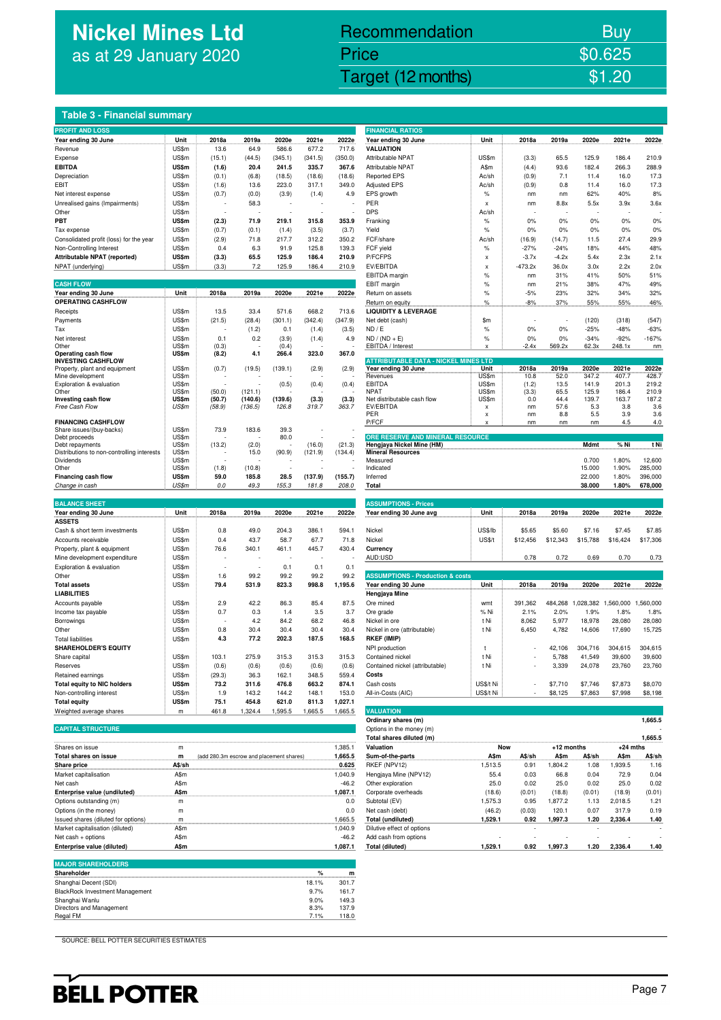## **Nickel Mines Ltd** as at 29 January 2020

## Nickel Mines Ltd (Nickel Mines Ltd (Nickel Mines Ltd (Nickel Mines Ltd (Nickel Mines Ltd Computer) \$1.20 Recommendation Buy Price \$0.625

#### **Table 3 - Financial summary**

| <b>PROFIT AND LOSS</b>                  |       |        |        |         |         |         | <b>FINANCIAL RATIOS</b> |       |           |         |       |       |       |
|-----------------------------------------|-------|--------|--------|---------|---------|---------|-------------------------|-------|-----------|---------|-------|-------|-------|
| Year ending 30 June                     | Unit  | 2018a  | 2019a  | 2020e   | 2021e   | 2022e   | Year ending 30 June     | Unit  | 2018a     | 2019a   | 2020e | 2021e | 2022e |
| Revenue                                 | US\$m | 13.6   | 64.9   | 586.6   | 677.2   | 717.6   | VALUATION               |       |           |         |       |       |       |
| Expense                                 | US\$m | (15.1) | (44.5) | (345.1) | (341.5) | (350.0) | Attributable NPAT       | US\$m | (3.3)     | 65.5    | 125.9 | 186.4 | 210.9 |
| <b>EBITDA</b>                           | US\$m | (1.6)  | 20.4   | 241.5   | 335.7   | 367.6   | Attributable NPAT       | A\$m  | (4.4)     | 93.6    | 182.4 | 266.3 | 288.9 |
| Depreciation                            | US\$m | (0.1)  | (6.8)  | (18.5)  | (18.6)  | (18.6)  | <b>Reported EPS</b>     | Ac/sh | (0.9)     | 7.1     | 11.4  | 16.0  | 17.3  |
| EBIT                                    | US\$m | (1.6)  | 13.6   | 223.0   | 317.1   | 349.0   | <b>Adjusted EPS</b>     | Ac/sh | (0.9)     | 0.8     | 11.4  | 16.0  | 17.3  |
| Net interest expense                    | US\$m | (0.7)  | (0.0)  | (3.9)   | (1.4)   | 4.9     | EPS growth              | $\%$  | nm        | nm      | 62%   | 40%   | 8%    |
| Unrealised gains (Impairments)          | US\$m |        | 58.3   |         |         |         | PER                     | x     | nm        | 8.8x    | 5.5x  | 3.9x  | 3.6x  |
| Other                                   | US\$m |        |        |         |         |         | <b>DPS</b>              | Ac/sh |           |         |       |       |       |
| PBT                                     | US\$m | (2.3)  | 71.9   | 219.1   | 315.8   | 353.9   | Franking                | $\%$  | 0%        | 0%      | 0%    | 0%    | 0%    |
| Tax expense                             | US\$m | (0.7)  | (0.1)  | (1.4)   | (3.5)   | (3.7)   | Yield                   | $\%$  | 0%        | 0%      | 0%    | 0%    | 0%    |
| Consolidated profit (loss) for the year | US\$m | (2.9)  | 71.8   | 217.7   | 312.2   | 350.2   | FCF/share               | Ac/sh | (16.9)    | (14.7)  | 11.5  | 27.4  | 29.9  |
| Non-Controlling Interest                | US\$m | 0.4    | 6.3    | 91.9    | 125.8   | 139.3   | FCF vield               | $\%$  | $-27%$    | $-24%$  | 18%   | 44%   | 48%   |
| Attributable NPAT (reported)            | US\$m | (3.3)  | 65.5   | 125.9   | 186.4   | 210.9   | P/FCFPS                 | X     | $-3.7x$   | $-4.2x$ | 5.4x  | 2.3x  | 2.1x  |
| NPAT (underlying)                       | US\$m | (3.3)  | 7.2    | 125.9   | 186.4   | 210.9   | EV/EBITDA               | X     | $-473.2x$ | 36.0x   | 3.0x  | 2.2x  | 2.0x  |

| <b>CASH FLOW</b>                           |                          |               |         |             |                          |         | EBIT margin                                 | %                 | nm      | 21%     | 38%           | 47%                      | 49%           |
|--------------------------------------------|--------------------------|---------------|---------|-------------|--------------------------|---------|---------------------------------------------|-------------------|---------|---------|---------------|--------------------------|---------------|
| Year ending 30 June                        | Unit                     | 2018a         | 2019a   | 2020e       | 2021e                    | 2022e   | Return on assets                            | $\frac{9}{6}$     | $-5%$   | 23%     | 32%           | 34%                      | 32%           |
| <b>OPERATING CASHFLOW</b>                  |                          |               |         |             |                          |         | Return on equity                            | $\frac{9}{6}$<br> | $-8%$   | 37%<br> | 55%           | 55%                      | 46%           |
| Receipts                                   | US\$m                    | 13.5          | 33.4    | 571.6       | 668.2                    | 713.6   | <b>LIQUIDITY &amp; LEVERAGE</b>             |                   |         |         |               |                          |               |
| Payments                                   | US\$m                    | (21.5)        | (28.4)  | (301.1)     | (342.4)                  | (347.9) | Net debt (cash)                             | \$m\$             |         |         | (120)         | (318)                    | (547)         |
| Tax                                        | US\$m                    |               | (1.2)   | 0.1         | (1.4)                    | (3.5)   | ND / E                                      | $\frac{9}{6}$     | 0%      | 0%      | $-25%$        | $-48%$                   | $-63%$        |
| Net interest                               | US\$m                    | 0.1           | 0.2     | (3.9)       | (1.4)                    | 4.9     | $ND / (ND + E)$                             | $\frac{9}{6}$     | 0%      | 0%      | $-34%$        | $-92%$                   | $-167%$       |
| Other                                      | US\$m                    | (0.3)         |         | (0.4)       |                          |         | EBITDA / Interest                           | X                 | $-2.4x$ | 569.2x  | 62.3x         | 248.1x                   | nm            |
| Operating cash flow                        | US\$m                    | (8.2)         | 4.1     | 266.4       | 323.0                    | 367.0   |                                             |                   |         |         |               |                          |               |
| <b>INVESTING CASHFLOW</b>                  |                          |               |         |             |                          |         | <b>ATTRIBUTABLE DATA - NICKEL MINES LTD</b> |                   |         |         |               |                          |               |
| Property, plant and equipment              | US\$m                    | (0.7)         | (19.5)  | (139.1)     | (2.9)                    | (2.9)   | Year ending 30 June                         | Unit              | 2018a   | 2019a   | 2020e         | 2021e                    | 2022e         |
| Mine development                           | US\$m                    |               |         |             |                          |         | Revenues                                    | US\$m             | 10.8    | 52.0    | 347.2         | 407.7                    | 428.7         |
| Exploration & evaluation                   | US\$m                    |               |         | (0.5)       | (0.4)                    | (0.4)   | <b>EBITDA</b>                               | US\$m             | (1.2)   | 13.5    | 141.9         | 201.3                    | 219.2         |
| Other                                      | US\$m                    | (50.0)        | (121.1) |             |                          |         | <b>NPAT</b>                                 | US\$m             | (3.3)   | 65.5    | 125.9         | 186.4                    | 210.9         |
| Investing cash flow                        | US\$m                    | (50.7)        | (140.6) | (139.6)     | (3.3)                    | (3.3)   | Net distributable cash flow                 | US\$m             | 0.0     | 44.4    | 139.7         | 163.7                    | 187.2         |
| Free Cash Flow                             | US\$m                    | (58.9)        | (136.5) | 126.8       | 319.7                    | 363.7   | EV/EBITDA                                   | X                 | nm      | 57.6    | 5.3           | 3.8                      | 3.6           |
|                                            |                          |               |         |             |                          |         | PER                                         | X                 | nm      | 8.8     | 5.5           | 3.9                      | 3.6           |
| <b>FINANCING CASHFLOW</b>                  |                          |               |         |             |                          |         | P/FCF                                       | X                 | nm      | nm      | nm            | 4.5                      | 4.0           |
| Share issues/(buy-backs)                   | US\$m                    | 73.9          | 183.6   | 39.3        |                          |         |                                             |                   |         |         |               |                          |               |
| Debt proceeds                              | US\$m                    |               |         | 80.0        |                          |         | ORE RESERVE AND MINERAL RESOURCE            |                   |         |         |               |                          |               |
| Debt repayments                            | US\$m                    | (13.2)        | (2.0)   |             | (16.0)                   | (21.3)  | Hengjaya Nickel Mine (HM)                   |                   |         |         | Mdmt          | % Ni                     | t Ni          |
| Distributions to non-controlling interests | US\$m                    |               | 15.0    | (90.9)      | (121.9)                  | (134.4) | <b>Mineral Resources</b>                    |                   |         |         |               |                          |               |
| Dividends                                  | US\$m                    |               |         |             |                          |         | Measured                                    |                   |         |         | 0.700         | 1.80%                    | 12,600        |
| Other                                      | US\$m                    | (1.8)         | (10.8)  |             |                          |         | Indicated                                   |                   |         |         | 15,000        | 1.90%                    | 285,000       |
| Financing cash flow                        | US\$m                    | 59.0          | 185.8   | 28.5        | (137.9)                  | (155.7) | Inferred                                    |                   |         |         | 22.000        | 1.80%                    | 396,000       |
| $\sim$ $\sim$ $\sim$ $\sim$                | $\overline{\phantom{a}}$ | $\sim$ $\sim$ | $\sim$  | $100 - 100$ | $\overline{\phantom{a}}$ | 0.000   | - - -                                       |                   |         |         | $\sim$ $\sim$ | $\overline{\phantom{a}}$ | $- - - - - -$ |

| <b>BALANCE SHEET</b>               |       |                          |        |        |         |         | <b>ASSUMPTIONS - Prices</b>                 |           |                          |          |          |           |          |
|------------------------------------|-------|--------------------------|--------|--------|---------|---------|---------------------------------------------|-----------|--------------------------|----------|----------|-----------|----------|
| Year ending 30 June                | Unit  | 2018a                    | 2019a  | 2020e  | 2021e   | 2022e   | Year ending 30 June avg                     | Unit      | 2018a                    | 2019a    | 2020e    | 2021e     | 2022e    |
| <b>ASSETS</b>                      |       |                          |        |        |         |         |                                             |           |                          |          |          |           |          |
| Cash & short term investments      | US\$m | 0.8                      | 49.0   | 204.3  | 386.1   | 594.1   | Nickel                                      | US\$/lb   | \$5.65                   | \$5.60   | \$7.16   | \$7.45    | \$7.85   |
| Accounts receivable                | US\$m | 0.4                      | 43.7   | 58.7   | 67.7    | 71.8    | Nickel                                      | US\$/t    | \$12,456                 | \$12,343 | \$15,788 | \$16,424  | \$17,306 |
| Property, plant & equipment        | US\$m | 76.6                     | 340.1  | 461.1  | 445.7   | 430.4   | Currency                                    |           |                          |          |          |           |          |
| Mine development expenditure       | US\$m | ٠                        |        |        |         |         | AUD:USD                                     |           | 0.78                     | 0.72     | 0.69     | 0.70      | 0.73     |
| Exploration & evaluation           | US\$m | $\overline{\phantom{a}}$ |        | 0.1    | 0.1     | 0.1     |                                             |           |                          |          |          |           |          |
| Other                              | US\$m | 1.6                      | 99.2   | 99.2   | 99.2    | 99.2    | <b>ASSUMPTIONS - Production &amp; costs</b> |           |                          |          |          |           |          |
| <b>Total assets</b>                | US\$m | 79.4                     | 531.9  | 823.3  | 998.8   | 1,195.6 | Year ending 30 June                         | Unit      | 2018a                    | 2019a    | 2020e    | 2021e     | 2022e    |
| <b>LIABILITIES</b>                 |       |                          |        |        |         |         | Hengjaya Mine                               |           |                          |          |          |           |          |
| Accounts payable                   | US\$m | 2.9                      | 42.2   | 86.3   | 85.4    | 87.5    | Ore mined                                   | wmt       | 391,362                  | 484.268  | 028.382  | 1.560.000 | .560,000 |
| Income tax payable                 | US\$m | 0.7                      | 0.3    | 1.4    | 3.5     | 3.7     | Ore grade                                   | % Ni      | 2.1%                     | 2.0%     | 1.9%     | 1.8%      | 1.8%     |
| Borrowings                         | US\$m | ٠                        | 4.2    | 84.2   | 68.2    | 46.8    | Nickel in ore                               | t Ni      | 8,062                    | 5,977    | 18,978   | 28,080    | 28,080   |
| Other                              | US\$m | 0.8                      | 30.4   | 30.4   | 30.4    | 30.4    | Nickel in ore (attributable)                | t Ni      | 6,450                    | 4,782    | 14,606   | 17,690    | 15,725   |
| <b>Total liabilities</b>           | US\$m | 4.3                      | 77.2   | 202.3  | 187.5   | 168.5   | RKEF (IMIP)                                 |           |                          |          |          |           |          |
| <b>SHAREHOLDER'S EQUITY</b>        |       |                          |        |        |         |         | NPI production                              |           | $\blacksquare$           | 42.106   | 304,716  | 304.615   | 304,615  |
| Share capital                      | US\$m | 103.1                    | 275.9  | 315.3  | 315.3   | 315.3   | Contained nickel                            | t Ni      | $\overline{\phantom{a}}$ | 5,788    | 41,549   | 39,600    | 39,600   |
| Reserves                           | US\$m | (0.6)                    | (0.6)  | (0.6)  | (0.6)   | (0.6)   | Contained nickel (attributable)             | t Ni      | $\overline{\phantom{a}}$ | 3,339    | 24,078   | 23,760    | 23,760   |
| Retained earnings                  | US\$m | (29.3)                   | 36.3   | 162.1  | 348.5   | 559.4   | Costs                                       |           |                          |          |          |           |          |
| <b>Total equity to NIC holders</b> | US\$m | 73.2                     | 311.6  | 476.8  | 663.2   | 874.1   | Cash costs                                  | US\$/t Ni | $\overline{\phantom{a}}$ | \$7,710  | \$7,746  | \$7,873   | \$8,070  |
| Non-controlling interest           | US\$m | 1.9                      | 143.2  | 144.2  | 148.1   | 153.0   | All-in-Costs (AIC)                          | US\$/t Ni | $\overline{\phantom{a}}$ | \$8,125  | \$7,863  | \$7,998   | \$8,198  |
| <b>Total equity</b>                | US\$m | 75.1                     | 454.8  | 621.0  | 811.3   | 1,027.1 |                                             |           |                          |          |          |           |          |
| Weighted average shares            | m     | 461.8                    | .324.4 | .595.5 | 1,665.5 | 1.665.5 | <b>VALUATION</b>                            |           |                          |          |          |           |          |

| <b>CAPITAL STRUCTUR</b> |  |
|-------------------------|--|
|                         |  |

|                                     |              |                                          |         | Total shares diluted (m)   |            |        |              |        |            | 1,665.5 |
|-------------------------------------|--------------|------------------------------------------|---------|----------------------------|------------|--------|--------------|--------|------------|---------|
| Shares on issue                     | m            |                                          | 1,385.1 | Valuation                  | <b>Now</b> |        | $+12$ months |        | $+24$ mths |         |
| <b>Total shares on issue</b>        | m            | (add 280.3m escrow and placement shares) | 1.665.5 | Sum-of-the-parts           | A\$m       | A\$/sh | A\$m         | A\$/sh | A\$m       | A\$/sh  |
| Share price                         | A\$/sh       |                                          | 0.625   | RKEF (NPV12)               | 1.513.5    | 0.91   | 1.804.2      | 1.08   | .939.5     | 1.16    |
| Market capitalisation               | A\$m         |                                          | 1.040.9 | Hengiaya Mine (NPV12)      | 55.4       | 0.03   | 66.8         | 0.04   | 72.9       | 0.04    |
| Net cash                            | A\$m         |                                          | $-46.2$ | Other exploration          | 25.0       | 0.02   | 25.0         | 0.02   | 25.0       | 0.02    |
| Enterprise value (undiluted)        | <b>A</b> \$m |                                          | 1,087.1 | Corporate overheads        | (18.6)     | (0.01) | (18.8)       | (0.01) | (18.9)     | (0.01)  |
| Options outstanding (m)             | m            |                                          | 0.0     | Subtotal (EV)              | .575.3     | 0.95   | 1.877.2      | 1.13   | 2.018.5    | 1.21    |
| Options (in the money)              | m            |                                          | 0.0     | Net cash (debt)            | (46.2)     | (0.03) | 120.1        | 0.07   | 317.9      | 0.19    |
| Issued shares (diluted for options) |              |                                          | .665.5  | Total (undiluted)          | 1.529.1    | 0.92   | 1.997.3      | 1.20   | 2.336.4    | 1.40    |
| Market capitalisation (diluted)     | A\$m         |                                          | 1.040.9 | Dilutive effect of options |            |        |              |        |            |         |
| Net cash $+$ options                | A\$m         |                                          | $-46.2$ | Add cash from options      |            |        |              |        |            |         |
| Enterprise value (diluted)          | A\$m         |                                          | 1,087.1 | Total (diluted)            | 1.529.1    | 0.92   | 1.997.3      | 1.20   | 2.336.4    | 1.40    |

| <b>MAJOR SHAREHOLDERS</b>              |       |       |
|----------------------------------------|-------|-------|
| Shareholder                            | %     | m     |
| Shanghai Decent (SDI)                  | 18.1% | 301.7 |
| <b>BlackRock Investment Management</b> | 9.7%  | 161.7 |
| Shanghai Wanlu                         | 9.0%  | 149.3 |
| Directors and Management               | 8.3%  | 137.9 |
| Regal FM                               | 7.1%  | 118.0 |

| <b>Table 3 - Financial summary</b>                                  |                |                                          |                  |                  |                   |                    |                                                               |                   |                  |                          |                |                               |                |
|---------------------------------------------------------------------|----------------|------------------------------------------|------------------|------------------|-------------------|--------------------|---------------------------------------------------------------|-------------------|------------------|--------------------------|----------------|-------------------------------|----------------|
| <b>PROFIT AND LOSS</b>                                              |                |                                          |                  |                  |                   |                    | <b>FINANCIAL RATIOS</b>                                       |                   |                  |                          |                |                               |                |
| Year ending 30 June                                                 | Unit           | 2018a                                    | 2019a            | 2020e            | 2021e             | 2022e              | Year ending 30 June                                           | Unit              | 2018a            | 2019a                    | 2020e          | 2021e                         | 2022e          |
| Revenue                                                             | US\$m          | 13.6                                     | 64.9             | 586.6            | 677.2             | 717.6              | <b>VALUATION</b>                                              |                   |                  |                          |                |                               |                |
| Expense                                                             | US\$m          | (15.1)                                   | (44.5)           | (345.1)          | (341.5)           | (350.0)            | Attributable NPAT                                             | US\$m             | (3.3)            | 65.5                     | 125.9          | 186.4                         | 210.9          |
| EBITDA<br>Depreciation                                              | US\$m<br>US\$m | (1.6)<br>(0.1)                           | 20.4             | 241.5<br>(18.5)  | 335.7             | 367.6<br>(18.6)    | Attributable NPAT<br><b>Reported EPS</b>                      | A\$m<br>Ac/sh     | (4.4)<br>(0.9)   | 93.6<br>7.1              | 182.4<br>11.4  | 266.3<br>16.0                 | 288.9<br>17.3  |
| EBIT                                                                | US\$m          | (1.6)                                    | (6.8)<br>13.6    | 223.0            | (18.6)<br>317.1   | 349.0              | <b>Adjusted EPS</b>                                           | Ac/sh             | (0.9)            | 0.8                      | 11.4           | 16.0                          | 17.3           |
| Net interest expense                                                | US\$m          | (0.7)                                    | (0.0)            | (3.9)            | (1.4)             | 4.9                | EPS growth                                                    | %                 | nm               | nm                       | 62%            | 40%                           | 8%             |
| Unrealised gains (Impairments)                                      | US\$m          |                                          | 58.3             |                  |                   |                    | PER                                                           | $\pmb{\chi}$      | nm               | 8.8x                     | 5.5x           | 3.9x                          | 3.6x           |
| Other                                                               | US\$m          |                                          | ÷                |                  |                   | $\overline{a}$     | <b>DPS</b>                                                    | Ac/sh             |                  | $\overline{\phantom{a}}$ | ٠.             | ÷                             |                |
| РВТ                                                                 | US\$m          | (2.3)                                    | 71.9             | 219.1            | 315.8             | 353.9              | Franking                                                      | %                 | 0%               | 0%                       | 0%             | 0%                            | 0%             |
| Tax expense                                                         | US\$m          | (0.7)                                    | (0.1)            | (1.4)            | (3.5)             | (3.7)              | Yield                                                         | %                 | 0%               | 0%                       | 0%             | 0%                            | 0%             |
| Consolidated profit (loss) for the year<br>Non-Controlling Interest | US\$m<br>US\$m | (2.9)<br>0.4                             | 71.8<br>6.3      | 217.7<br>91.9    | 312.2<br>125.8    | 350.2<br>139.3     | FCF/share<br>FCF yield                                        | Ac/sh<br>%        | (16.9)<br>$-27%$ | (14.7)<br>$-24%$         | 11.5<br>18%    | 27.4<br>44%                   | 29.9<br>48%    |
| Attributable NPAT (reported)                                        | US\$m          | (3.3)                                    | 65.5             | 125.9            | 186.4             | 210.9              | P/FCFPS                                                       | x                 | $-3.7x$          | $-4.2x$                  | 5.4x           | 2.3x                          | 2.1x           |
| NPAT (underlying)                                                   | US\$m          | (3.3)                                    | 7.2              | 125.9            | 186.4             | 210.9              | EV/EBITDA                                                     | x                 | $-473.2x$        | 36.0x                    | 3.0x           | 2.2x                          | 2.0x           |
|                                                                     |                |                                          |                  |                  |                   |                    | EBITDA margin                                                 | $\%$              | nm               | 31%                      | 41%            | 50%                           | 51%            |
| <b>CASH FLOW</b>                                                    |                |                                          |                  |                  |                   |                    | EBIT margin                                                   | $\%$              | nm               | 21%                      | 38%            | 47%                           | 49%            |
| Year ending 30 June                                                 | Unit           | 2018a                                    | 2019a            | 2020e            | 2021e             | 2022e              | Return on assets                                              | $\%$              | $-5%$            | 23%                      | 32%            | 34%                           | 32%            |
| <b>OPERATING CASHFLOW</b>                                           |                |                                          |                  |                  |                   |                    | Return on equity<br><b>LIQUIDITY &amp; LEVERAGE</b>           | $\%$              | $-8%$            | 37%                      | 55%            | 55%                           | 46%            |
| Receipts<br>Payments                                                | US\$m<br>US\$m | 13.5<br>(21.5)                           | 33.4<br>(28.4)   | 571.6<br>(301.1) | 668.2<br>(342.4)  | 713.6<br>(347.9)   | Net debt (cash)                                               | \$m               |                  | ٠.                       | (120)          | (318)                         | (547)          |
| Тах                                                                 | US\$m          |                                          | (1.2)            | 0.1              | (1.4)             | (3.5)              | ND / E                                                        | $\%$              | 0%               | $0\%$                    | $-25%$         | $-48%$                        | $-63%$         |
| Net interest                                                        | US\$m          | 0.1                                      | 0.2              | (3.9)            | (1.4)             | 4.9                | $ND / (ND + E)$                                               | $\%$              | 0%               | 0%                       | $-34%$         | $-92%$                        | $-167%$        |
| Other                                                               | US\$m          | (0.3)                                    |                  | (0.4)            |                   |                    | EBITDA / Interest                                             | X                 | $-2.4x$          | 569.2x                   | 62.3x          | 248.1x                        | nm             |
| Operating cash flow<br><b>INVESTING CASHFLOW</b>                    | US\$m          | (8.2)                                    | 4.1              | 266.4            | 323.0             | 367.0              | <b>ATTRIBUTABLE DATA - NICKEL MINES LTD</b>                   |                   |                  |                          |                |                               |                |
| Property, plant and equipment                                       | US\$m          | (0.7)                                    | (19.5)           | (139.1)          | (2.9)             | (2.9)              | Year ending 30 June                                           | Unit              | 2018a            | 2019a                    | 2020e          | 2021e                         | 2022e          |
| Mine development                                                    | US\$m          |                                          |                  |                  |                   |                    | Revenues                                                      | US\$m             | 10.8             | 52.0                     | 347.2          | 407.7                         | 428.7          |
| Exploration & evaluation<br>Other                                   | US\$m<br>US\$m | (50.0)                                   | (121.1)          | (0.5)            | (0.4)             | (0.4)              | EBITDA<br><b>NPAT</b>                                         | US\$m<br>US\$m    | (1.2)<br>(3.3)   | 13.5<br>65.5             | 141.9<br>125.9 | 201.3<br>186.4                | 219.2<br>210.9 |
| Investing cash flow                                                 | US\$m          | (50.7)                                   | (140.6)          | (139.6)          | (3.3)             | (3.3)              | Net distributable cash flow                                   | US\$m             | 0.0              | 44.4                     | 139.7          | 163.7                         | 187.2          |
| Free Cash Flow                                                      | US\$m          | (58.9)                                   | (136.5)          | 126.8            | 319.7             | 363.7              | EV/EBITDA                                                     | $\mathsf{x}$      | nm               | 57.6                     | 5.3            | 3.8                           | 3.6            |
| <b>FINANCING CASHFLOW</b>                                           |                |                                          |                  |                  |                   |                    | PER<br>P/FCF                                                  | х<br>$\mathsf{x}$ | nm<br>nm         | 8.8<br>nm                | 5.5<br>nm      | 3.9<br>4.5                    | 3.6<br>4.0     |
| Share issues/(buy-backs)                                            | US\$m          | 73.9                                     | 183.6            | 39.3             |                   |                    |                                                               |                   |                  |                          |                |                               |                |
| Debt proceeds                                                       | US\$m          |                                          |                  | 80.0             |                   |                    | ORE RESERVE AND MINERAL RESOURCE<br>Hengjaya Nickel Mine (HM) |                   |                  |                          |                |                               |                |
| Debt repayments<br>Distributions to non-controlling interests       | US\$m<br>US\$m | (13.2)                                   | (2.0)<br>15.0    | (90.9)           | (16.0)<br>(121.9) | (21.3)<br>(134.4)  | <b>Mineral Resources</b>                                      |                   |                  |                          | Mdmt           | % Ni                          | t Ni           |
|                                                                     |                |                                          |                  |                  |                   |                    |                                                               |                   |                  |                          |                |                               |                |
| Dividends                                                           | US\$m          |                                          |                  |                  |                   |                    | Measured                                                      |                   |                  |                          | 0.700          | 1.80%                         | 12,600         |
| Other                                                               | US\$m          | (1.8)                                    | (10.8)           |                  |                   |                    | Indicated                                                     |                   |                  |                          | 15.000         | 1.90%                         | 285,000        |
| <b>Financing cash flow</b>                                          | US\$m          | 59.0                                     | 185.8            | 28.5             | (137.9)           | (155.7)            | Inferred                                                      |                   |                  |                          | 22.000         | 1.80%                         | 396,000        |
| Change in cash                                                      | US\$m          | 0.0                                      | 49.3             | 155.3            | 181.8             | 208.0              | <b>Total</b>                                                  |                   |                  |                          | 38.000         | 1.80%                         | 678,000        |
| <b>BALANCE SHEET</b>                                                |                |                                          |                  |                  |                   |                    | <b>ASSUMPTIONS - Prices</b>                                   |                   |                  |                          |                |                               |                |
| Year ending 30 June                                                 | Unit           | 2018a                                    | 2019a            | 2020e            | 2021e             | 2022e              | Year ending 30 June avg                                       | Unit              | 2018a            | 2019a                    | 2020e          | 2021e                         | 2022e          |
| <b>ASSETS</b>                                                       |                |                                          |                  |                  |                   |                    |                                                               |                   |                  |                          |                |                               |                |
| Cash & short term investments                                       | US\$m          | 0.8                                      | 49.0             | 204.3            | 386.1             | 594.1              | Nickel                                                        | US\$/lb           | \$5.65           | \$5.60                   | \$7.16         | \$7.45                        | \$7.85         |
| Accounts receivable                                                 | US\$m          | 0.4                                      | 43.7             | 58.7             | 67.7              | 71.8               | Nickel                                                        | <b>US\$/t</b>     | \$12,456         | \$12,343                 | \$15,788       | \$16,424                      | \$17,306       |
| Property, plant & equipment                                         | US\$m          | 76.6                                     | 340.1            | 461.1            | 445.7             | 430.4              | Currency                                                      |                   |                  |                          |                |                               |                |
| Mine development expenditure<br><b>Exploration &amp; evaluation</b> | US\$m<br>US\$m |                                          | ł,               | 0.1              | 0.1               | 0.1                | AUD:USD                                                       |                   | 0.78             | 0.72                     | 0.69           | 0.70                          | 0.73           |
| Other                                                               | US\$m          | 1.6                                      | 99.2             | 99.2             | 99.2              | 99.2               | <b>ASSUMPTIONS - Production &amp; costs</b>                   |                   |                  |                          |                |                               |                |
| Total assets                                                        | US\$m          | 79.4                                     | 531.9            | 823.3            | 998.8             | 1,195.6            | Year ending 30 June<br>.                                      | Unit              | 2018a            | 2019a                    | 2020e          | 2021e                         | 2022e          |
| <b>LIABILITIES</b>                                                  |                |                                          |                  |                  |                   |                    | Hengjaya Mine                                                 |                   |                  |                          |                |                               |                |
| Accounts payable                                                    | US\$m          | 2.9                                      | 42.2             | 86.3             | 85.4              | 87.5               | Ore mined                                                     | wmt               | 391,362          | 484,268                  |                | 1,028,382 1,560,000 1,560,000 |                |
| Income tax payable                                                  | US\$m          | 0.7                                      | 0.3              | 1.4              | 3.5               | 3.7                | Ore grade                                                     | % Ni              | 2.1%             | 2.0%                     | 1.9%           | 1.8%                          | 1.8%           |
| Borrowings                                                          | US\$m          |                                          | 4.2              | 84.2             | 68.2              | 46.8               | Nickel in ore                                                 | t Ni              | 8,062            | 5,977                    | 18,978         | 28,080                        | 28,080         |
| Other<br>Total liabilities                                          | US\$m<br>US\$m | 0.8<br>4.3                               | 30.4<br>77.2     | 30.4<br>202.3    | 30.4<br>187.5     | 30.4<br>168.5      | Nickel in ore (attributable)<br><b>RKEF (IMIP)</b>            | t Ni              | 6,450            | 4,782                    | 14,606         | 17,690                        | 15,725         |
| <b>SHAREHOLDER'S EQUITY</b>                                         |                |                                          |                  |                  |                   |                    | NPI production                                                |                   |                  | 42,106                   | 304,716        | 304,615                       | 304,615        |
| Share capital                                                       | US\$m          | 103.1                                    | 275.9            | 315.3            | 315.3             | 315.3              | Contained nickel                                              | t Ni              |                  | 5,788                    | 41,549         | 39,600                        | 39,600         |
| Reserves                                                            | US\$m          | (0.6)                                    | (0.6)            | (0.6)            | (0.6)             | (0.6)              | Contained nickel (attributable)                               | t Ni              |                  | 3,339                    | 24,078         | 23,760                        | 23,760         |
| Retained earnings                                                   | US\$m          | (29.3)                                   | 36.3             | 162.1            | 348.5             | 559.4              | Costs                                                         |                   |                  |                          |                |                               |                |
| <b>Total equity to NIC holders</b>                                  | US\$m          | 73.2                                     | 311.6            | 476.8            | 663.2             | 874.1              | Cash costs                                                    | US\$/t Ni         |                  | \$7,710                  | \$7,746        | \$7,873                       | \$8,070        |
| Non-controlling interest                                            | US\$m          | 1.9                                      | 143.2            | 144.2            | 148.1             | 153.0              | All-in-Costs (AIC)                                            | US\$/t Ni         |                  | \$8,125                  | \$7,863        | \$7,998                       | \$8,198        |
| <b>Total equity</b><br>Weighted average shares                      | US\$m<br>m     | 75.1<br>461.8                            | 454.8<br>1,324.4 | 621.0<br>1,595.5 | 811.3<br>1,665.5  | 1,027.1<br>1,665.5 | <b>VALUATION</b>                                              |                   |                  |                          |                |                               |                |
|                                                                     |                |                                          |                  |                  |                   |                    | Ordinary shares (m)                                           |                   |                  |                          |                |                               | 1,665.5        |
| <b>CAPITAL STRUCTURE</b>                                            |                |                                          |                  |                  |                   |                    | Options in the money (m)                                      |                   |                  |                          |                |                               |                |
|                                                                     |                |                                          |                  |                  |                   | .                  | Total shares diluted (m)                                      |                   |                  |                          |                |                               | 1,665.5        |
| Shares on issue                                                     | m              |                                          |                  |                  |                   | 1,385.1            | Valuation                                                     | Now               |                  | +12 months               |                | $+24$ mths                    |                |
| Total shares on issue                                               | m              | (add 280.3m escrow and placement shares) |                  |                  |                   | 1,665.5            | Sum-of-the-parts                                              | A\$m              | A\$/sh           | A\$m                     | A\$/sh         | <b>A\$m</b>                   | A\$/sh         |
| Share price                                                         | A\$/sh         |                                          |                  |                  |                   | 0.625              | RKEF (NPV12)                                                  | 1,513.5           | 0.91             | 1,804.2                  | 1.08           | 1,939.5                       | 1.16           |
| Market capitalisation<br>Net cash                                   | A\$m<br>A\$m   |                                          |                  |                  |                   | 1,040.9<br>$-46.2$ | Hengjaya Mine (NPV12)<br>Other exploration                    | 55.4<br>25.0      | 0.03<br>0.02     | 66.8<br>25.0             | 0.04<br>0.02   | 72.9<br>25.0                  | 0.04<br>0.02   |
| Enterprise value (undiluted)                                        | A\$m           |                                          |                  |                  |                   | 1,087.1            | Corporate overheads                                           | (18.6)            | (0.01)           | (18.8)                   | (0.01)         | (18.9)                        | (0.01)         |

SOURCE: BELL POTTER SECURITIES ESTIMATES